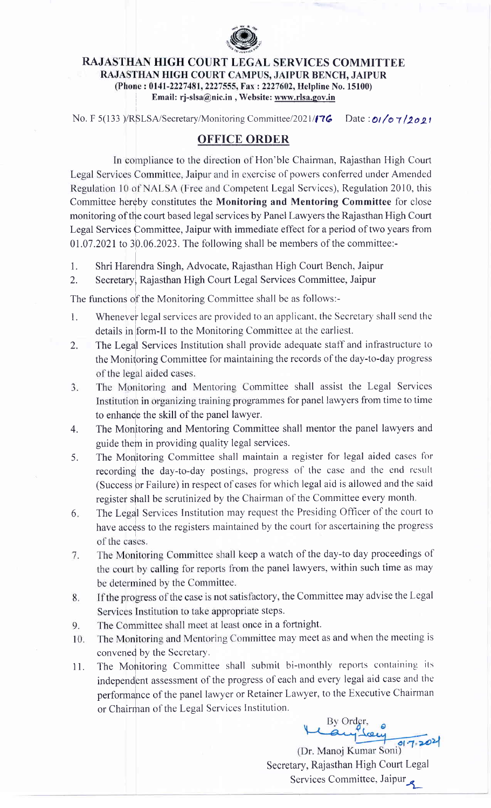

## RAJASTHAN HIGH COURT LEGAL SERVICES COMMITTEE RAJASTHAN HIGH COURT CAMPUS, JAIPUR BENCH, JAIPUR (Phone: 0141-2227481, 2227555, Fax: 2227602, Helpline No. 15100) Email: rj-slsa@nic.in, Website: www.rlsa.gov.in

No. F 5(133 )/RSLSA/Secretary/Monitoring Committee/2021/176 Date: 01/07/2021

## OFFICE ORDER

In compliance to the direction of Hon'ble Chairman, Rajasthan High Court Legal Services Committee, Jaipur and in exercise of powers conferred under Amended Regulation 10 of NALSA (Free and Competent Legal Services), Regulation 2010, this Committee hereby constitutes the Monitoring and Mentoring Committee for close monitoring of the court based legal services by Panel Lawyers the Rajasthan High Court Legal Services Committee, Jaipur with immediate effect for a period of two years from 01.07.2021 to 30.06.2023. The following shall be members of the committee:-

- 1. Shri Harendra Singh, Advocate, Rajasthan High Court Bench, Jaipur
- 2. Secretary, Rajasthan High Court Legal Services Committee, Jaipur

The functions of the Monitoring Committee shall be as follows:-

- 1. Whenever legal services are provided to an applicant, the Secretary shall send the details in form-II to the Monitoring Committee at the earliest.
- 2. The Legal Services Institution shall provide adequate staff and infrastructure to the Monitoring Committee for maintaining the records of the day-to-day progress of the legal aided cases.
- The Monitoring and Mentoring Committee shall assist the Legal Services 3. Institution in organizing training programmes for panel lawyers from time to time to enhance the skill of the panel lawyer.
- 4. The Monitoring and Mentoring Committee shall mentor the panel lawyers and guide them in providing quality legal services.
- 5. The Monitoring Committee shall maintain a register for legal aided cases for recording the day-to-day postings, progress of the case and the end result (Success or Failure) in respect of cases for which legal aid is allowed and the said register shall be scrutinized by the Chairman of the Committee every month.
- 6. The Legal Services Institution may request the Presiding Officer of the court to have access to the registers maintained by the court for ascertaining the progress of the cases.
- The Monitoring Committee shall keep a watch of the day-to day proceedings of 7. the court by calling for reports from the panel lawyers, within such time as may be determined by the Committee.
- If the progress of the case is not satisfactory, the Committee may advise the Legal 8. Services Institution to take appropriate steps.
- The Committee shall meet at least once in a fortnight. 9.
- The Monitoring and Mentoring Committee may meet as and when the meeting is 10. convened by the Secretary.
- 11. The Monitoring Committee shall submit bi-monthly reports containing its independent assessment of the progress of each and every legal aid case and the performance of the panel lawyer or Retainer Lawyer, to the Executive Chairman or Chairman of the Legal Services Institution.

By Order,<br>(Dr. Manoj Kumar Soni) 917.2021

Secretary, Rajasthan High Court Legal Services Committee, Jaipur